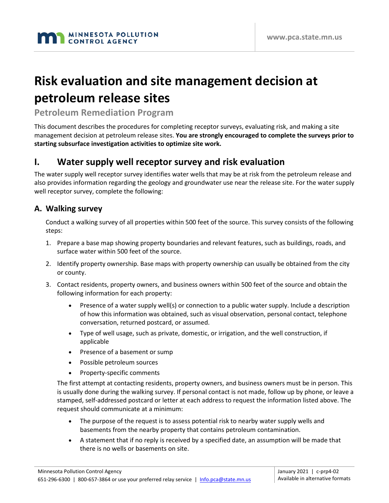# **Risk evaluation and site management decision at petroleum release sites**

# **Petroleum Remediation Program**

This document describes the procedures for completing receptor surveys, evaluating risk, and making a site management decision at petroleum release sites. **You are strongly encouraged to complete the surveys prior to starting subsurface investigation activities to optimize site work.**

# **I. Water supply well receptor survey and risk evaluation**

The water supply well receptor survey identifies water wells that may be at risk from the petroleum release and also provides information regarding the geology and groundwater use near the release site. For the water supply well receptor survey, complete the following:

### **A. Walking survey**

Conduct a walking survey of all properties within 500 feet of the source. This survey consists of the following steps:

- 1. Prepare a base map showing property boundaries and relevant features, such as buildings, roads, and surface water within 500 feet of the source.
- 2. Identify property ownership. Base maps with property ownership can usually be obtained from the city or county.
- 3. Contact residents, property owners, and business owners within 500 feet of the source and obtain the following information for each property:
	- Presence of a water supply well(s) or connection to a public water supply. Include a description of how this information was obtained, such as visual observation, personal contact, telephone conversation, returned postcard, or assumed.
	- Type of well usage, such as private, domestic, or irrigation, and the well construction, if applicable
	- Presence of a basement or sump
	- Possible petroleum sources
	- Property-specific comments

The first attempt at contacting residents, property owners, and business owners must be in person. This is usually done during the walking survey. If personal contact is not made, follow up by phone, or leave a stamped, self-addressed postcard or letter at each address to request the information listed above. The request should communicate at a minimum:

- The purpose of the request is to assess potential risk to nearby water supply wells and basements from the nearby property that contains petroleum contamination.
- A statement that if no reply is received by a specified date, an assumption will be made that there is no wells or basements on site.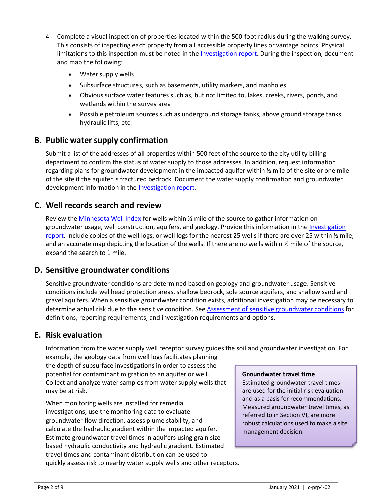- 4. Complete a visual inspection of properties located within the 500-foot radius during the walking survey. This consists of inspecting each property from all accessible property lines or vantage points. Physical limitations to this inspection must be noted in the [Investigation report.](https://www.pca.state.mn.us/sites/default/files/c-prp4-06.doc) During the inspection, document and map the following:
	- Water supply wells
	- Subsurface structures, such as basements, utility markers, and manholes
	- Obvious surface water features such as, but not limited to, lakes, creeks, rivers, ponds, and wetlands within the survey area
	- Possible petroleum sources such as underground storage tanks, above ground storage tanks, hydraulic lifts, etc.

### **B. Public water supply confirmation**

Submit a list of the addresses of all properties within 500 feet of the source to the city utility billing department to confirm the status of water supply to those addresses. In addition, request information regarding plans for groundwater development in the impacted aquifer within ½ mile of the site or one mile of the site if the aquifer is fractured bedrock. Document the water supply confirmation and groundwater development information in the **Investigation report**.

# **C. Well records search and review**

Review the [Minnesota Well Index](https://www.health.state.mn.us/communities/environment/water/mwi/index.html) for wells within  $\frac{1}{2}$  mile of the source to gather information on groundwater usage, well construction, aquifers, and geology. Provide this information in the Investigation report. Include copies of the well logs, or well logs for the nearest 25 wells if there are over 25 within ½ mile, and an accurate map depicting the location of the wells. If there are no wells within  $\frac{1}{2}$  mile of the source, expand the search to 1 mile.

### **D. Sensitive groundwater conditions**

Sensitive groundwater conditions are determined based on geology and groundwater usage. Sensitive conditions include wellhead protection areas, shallow bedrock, sole source aquifers, and shallow sand and gravel aquifers. When a sensitive groundwater condition exists, additional investigation may be necessary to determine actual risk due to the sensitive condition. See [Assessment of sensitive groundwater conditions](https://www.pca.state.mn.us/sites/default/files/c-prp4-18.pdf) for definitions, reporting requirements, and investigation requirements and options.

### **E. Risk evaluation**

Information from the water supply well receptor survey guides the soil and groundwater investigation. For

example, the geology data from well logs facilitates planning the depth of subsurface investigations in order to assess the potential for contaminant migration to an aquifer or well. Collect and analyze water samples from water supply wells that may be at risk.

When monitoring wells are installed for remedial investigations, use the monitoring data to evaluate groundwater flow direction, assess plume stability, and calculate the hydraulic gradient within the impacted aquifer. Estimate groundwater travel times in aquifers using grain sizebased hydraulic conductivity and hydraulic gradient. Estimated travel times and contaminant distribution can be used to quickly assess risk to nearby water supply wells and other receptors.

#### **Groundwater travel time**

Estimated groundwater travel times are used for the initial risk evaluation and as a basis for recommendations. Measured groundwater travel times, as referred to in Section VI, are more robust calculations used to make a site management decision.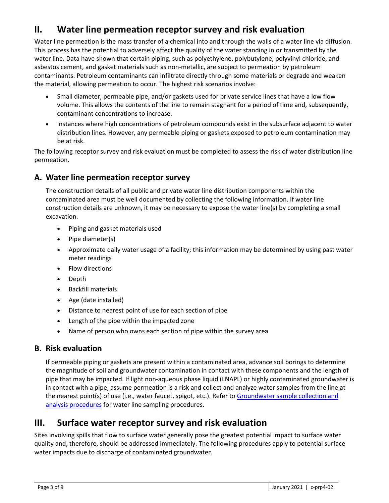# **II. Water line permeation receptor survey and risk evaluation**

Water line permeation is the mass transfer of a chemical into and through the walls of a water line via diffusion. This process has the potential to adversely affect the quality of the water standing in or transmitted by the water line. Data have shown that certain piping, such as polyethylene, polybutylene, polyvinyl chloride, and asbestos cement, and gasket materials such as non-metallic, are subject to permeation by petroleum contaminants. Petroleum contaminants can infiltrate directly through some materials or degrade and weaken the material, allowing permeation to occur. The highest risk scenarios involve:

- Small diameter, permeable pipe, and/or gaskets used for private service lines that have a low flow volume. This allows the contents of the line to remain stagnant for a period of time and, subsequently, contaminant concentrations to increase.
- Instances where high concentrations of petroleum compounds exist in the subsurface adjacent to water distribution lines. However, any permeable piping or gaskets exposed to petroleum contamination may be at risk.

The following receptor survey and risk evaluation must be completed to assess the risk of water distribution line permeation.

# **A. Water line permeation receptor survey**

The construction details of all public and private water line distribution components within the contaminated area must be well documented by collecting the following information. If water line construction details are unknown, it may be necessary to expose the water line(s) by completing a small excavation.

- Piping and gasket materials used
- Pipe diameter(s)
- Approximate daily water usage of a facility; this information may be determined by using past water meter readings
- Flow directions
- Depth
- Backfill materials
- Age (date installed)
- Distance to nearest point of use for each section of pipe
- Length of the pipe within the impacted zone
- Name of person who owns each section of pipe within the survey area

# **B. Risk evaluation**

If permeable piping or gaskets are present within a contaminated area, advance soil borings to determine the magnitude of soil and groundwater contamination in contact with these components and the length of pipe that may be impacted. If light non-aqueous phase liquid (LNAPL) or highly contaminated groundwater is in contact with a pipe, assume permeation is a risk and collect and analyze water samples from the line at the nearest point(s) of use (i.e., water faucet, spigot, etc.). Refer to [Groundwater sample collection and](https://www.pca.state.mn.us/sites/default/files/c-prp4-05.pdf)  [analysis procedures](https://www.pca.state.mn.us/sites/default/files/c-prp4-05.pdf) for water line sampling procedures.

# **III. Surface water receptor survey and risk evaluation**

Sites involving spills that flow to surface water generally pose the greatest potential impact to surface water quality and, therefore, should be addressed immediately. The following procedures apply to potential surface water impacts due to discharge of contaminated groundwater.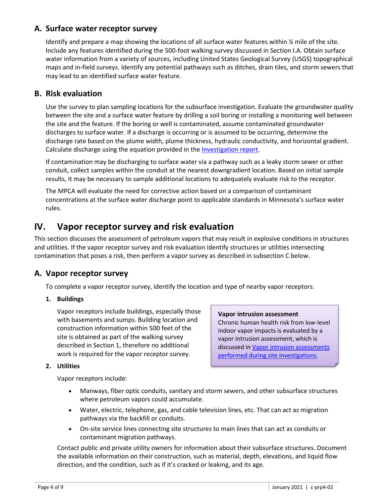### **A. Surface water receptor survey**

Identify and prepare a map showing the locations of all surface water features within % mile of the site. Include any features identified during the 500-foot walking survey discussed in Section I.A. Obtain surface water information from a variety of sources, including United States Geological Survey (USGS) topographical maps and in-field surveys. Identify any potential pathways such as ditches, drain tiles, and storm sewers that may lead to an identified surface water feature.

# **B. Risk evaluation**

Use the survey to plan sampling locations for the subsurface investigation. Evaluate the groundwater quality between the site and a surface water feature by drilling a soil boring or installing a monitoring well between the site and the feature. If the boring or well is contaminated, assume contaminated groundwater discharges to surface water. If a discharge is occurring or is assumed to be occurring, determine the discharge rate based on the plume width, plume thickness, hydraulic conductivity, and horizontal gradient. Calculate discharge using the equation provided in the *Investigation report*.

If contamination may be discharging to surface water via a pathway such as a leaky storm sewer or other conduit, collect samples within the conduit at the nearest downgradient location. Based on initial sample results, it may be necessary to sample additional locations to adequately evaluate risk to the receptor.

The MPCA will evaluate the need for corrective action based on a comparison of contaminant concentrations at the surface water discharge point to applicable standards in Minnesota's surface water rules.

# **IV. Vapor receptor survey and risk evaluation**

This section discusses the assessment of petroleum vapors that may result in explosive conditions in structures and utilities. If the vapor receptor survey and risk evaluation identify structures or utilities intersecting contamination that poses a risk, then perform a vapor survey as described in subsection C below.

# **A. Vapor receptor survey**

To complete a vapor receptor survey, identify the location and type of nearby vapor receptors.

#### **1. Buildings**

Vapor receptors include buildings, especially those with basements and sumps. Building location and construction information within 500 feet of the site is obtained as part of the walking survey described in Section 1, therefore no additional work is required for the vapor receptor survey.

#### **Vapor intrusion assessment**

Chronic human health risk from low-level indoor vapor impacts is evaluated by a vapor intrusion assessment, which is discussed in [Vapor intrusion assessments](https://www.pca.state.mn.us/sites/default/files/c-prp4-01a.pdf)  [performed during site investigations.](https://www.pca.state.mn.us/sites/default/files/c-prp4-01a.pdf)

#### **2. Utilities**

Vapor receptors include:

- Manways, fiber optic conduits, sanitary and storm sewers, and other subsurface structures where petroleum vapors could accumulate.
- Water, electric, telephone, gas, and cable television lines, etc. That can act as migration pathways via the backfill or conduits.
- On-site service lines connecting site structures to main lines that can act as conduits or contaminant migration pathways.

Contact public and private utility owners for information about their subsurface structures. Document the available information on their construction, such as material, depth, elevations, and liquid flow direction, and the condition, such as if it's cracked or leaking, and its age.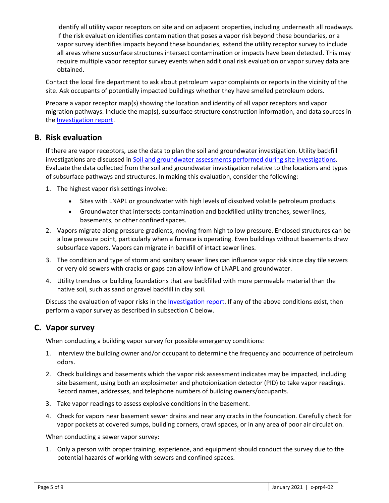Identify all utility vapor receptors on site and on adjacent properties, including underneath all roadways. If the risk evaluation identifies contamination that poses a vapor risk beyond these boundaries, or a vapor survey identifies impacts beyond these boundaries, extend the utility receptor survey to include all areas where subsurface structures intersect contamination or impacts have been detected. This may require multiple vapor receptor survey events when additional risk evaluation or vapor survey data are obtained.

Contact the local fire department to ask about petroleum vapor complaints or reports in the vicinity of the site. Ask occupants of potentially impacted buildings whether they have smelled petroleum odors.

Prepare a vapor receptor map(s) showing the location and identity of all vapor receptors and vapor migration pathways. Include the map(s), subsurface structure construction information, and data sources in the [Investigation report.](https://www.pca.state.mn.us/sites/default/files/c-prp4-06.doc)

# **B. Risk evaluation**

If there are vapor receptors, use the data to plan the soil and groundwater investigation. Utility backfill investigations are discussed i[n Soil and groundwater assessments performed during site investigations.](https://www.pca.state.mn.us/sites/default/files/c-prp4-01.pdf) Evaluate the data collected from the soil and groundwater investigation relative to the locations and types of subsurface pathways and structures. In making this evaluation, consider the following:

- 1. The highest vapor risk settings involve:
	- Sites with LNAPL or groundwater with high levels of dissolved volatile petroleum products.
	- Groundwater that intersects contamination and backfilled utility trenches, sewer lines, basements, or other confined spaces.
- 2. Vapors migrate along pressure gradients, moving from high to low pressure. Enclosed structures can be a low pressure point, particularly when a furnace is operating. Even buildings without basements draw subsurface vapors. Vapors can migrate in backfill of intact sewer lines.
- 3. The condition and type of storm and sanitary sewer lines can influence vapor risk since clay tile sewers or very old sewers with cracks or gaps can allow inflow of LNAPL and groundwater.
- 4. Utility trenches or building foundations that are backfilled with more permeable material than the native soil, such as sand or gravel backfill in clay soil.

Discuss the evaluation of vapor risks in th[e Investigation report.](https://www.pca.state.mn.us/sites/default/files/c-prp4-06.doc) If any of the above conditions exist, then perform a vapor survey as described in subsection C below.

# **C. Vapor survey**

When conducting a building vapor survey for possible emergency conditions:

- 1. Interview the building owner and/or occupant to determine the frequency and occurrence of petroleum odors.
- 2. Check buildings and basements which the vapor risk assessment indicates may be impacted, including site basement, using both an explosimeter and photoionization detector (PID) to take vapor readings. Record names, addresses, and telephone numbers of building owners/occupants.
- 3. Take vapor readings to assess explosive conditions in the basement.
- 4. Check for vapors near basement sewer drains and near any cracks in the foundation. Carefully check for vapor pockets at covered sumps, building corners, crawl spaces, or in any area of poor air circulation.

When conducting a sewer vapor survey:

1. Only a person with proper training, experience, and equipment should conduct the survey due to the potential hazards of working with sewers and confined spaces.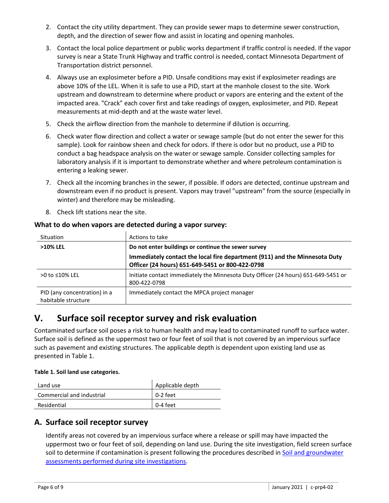- 2. Contact the city utility department. They can provide sewer maps to determine sewer construction, depth, and the direction of sewer flow and assist in locating and opening manholes.
- 3. Contact the local police department or public works department if traffic control is needed. If the vapor survey is near a State Trunk Highway and traffic control is needed, contact Minnesota Department of Transportation district personnel.
- 4. Always use an explosimeter before a PID. Unsafe conditions may exist if explosimeter readings are above 10% of the LEL. When it is safe to use a PID, start at the manhole closest to the site. Work upstream and downstream to determine where product or vapors are entering and the extent of the impacted area. "Crack" each cover first and take readings of oxygen, explosimeter, and PID. Repeat measurements at mid-depth and at the waste water level.
- 5. Check the airflow direction from the manhole to determine if dilution is occurring.
- 6. Check water flow direction and collect a water or sewage sample (but do not enter the sewer for this sample). Look for rainbow sheen and check for odors. If there is odor but no product, use a PID to conduct a bag headspace analysis on the water or sewage sample. Consider collecting samples for laboratory analysis if it is important to demonstrate whether and where petroleum contamination is entering a leaking sewer.
- 7. Check all the incoming branches in the sewer, if possible. If odors are detected, continue upstream and downstream even if no product is present. Vapors may travel "upstream" from the source (especially in winter) and therefore may be misleading.
- 8. Check lift stations near the site.

#### **What to do when vapors are detected during a vapor survey:**

| Situation                                           | Actions to take                                                                                                               |  |
|-----------------------------------------------------|-------------------------------------------------------------------------------------------------------------------------------|--|
| >10% LEL                                            | Do not enter buildings or continue the sewer survey                                                                           |  |
|                                                     | Immediately contact the local fire department (911) and the Minnesota Duty<br>Officer (24 hours) 651-649-5451 or 800-422-0798 |  |
| $>0$ to $\leq 10\%$ LEL                             | Initiate contact immediately the Minnesota Duty Officer (24 hours) 651-649-5451 or<br>800-422-0798                            |  |
| PID (any concentration) in a<br>habitable structure | Immediately contact the MPCA project manager                                                                                  |  |

# **V. Surface soil receptor survey and risk evaluation**

Contaminated surface soil poses a risk to human health and may lead to contaminated runoff to surface water. Surface soil is defined as the uppermost two or four feet of soil that is not covered by an impervious surface such as pavement and existing structures. The applicable depth is dependent upon existing land use as presented in Table 1.

#### **Table 1. Soil land use categories.**

| Land use                  | Applicable depth |
|---------------------------|------------------|
| Commercial and industrial | 0-2 feet         |
| Residential               | 0-4 feet         |

### **A. Surface soil receptor survey**

Identify areas not covered by an impervious surface where a release or spill may have impacted the uppermost two or four feet of soil, depending on land use. During the site investigation, field screen surface soil to determine if contamination is present following the procedures described in Soil and groundwater assessments [performed during site investigations.](https://www.pca.state.mn.us/sites/default/files/c-prp4-01.pdf)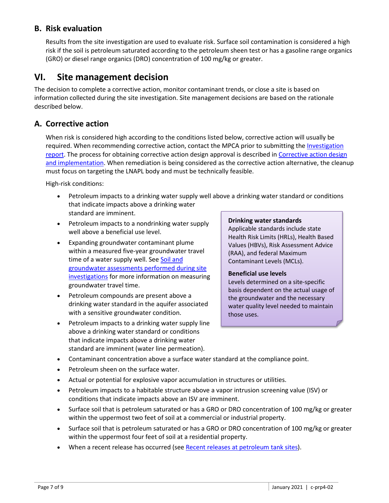# **B. Risk evaluation**

Results from the site investigation are used to evaluate risk. Surface soil contamination is considered a high risk if the soil is petroleum saturated according to the petroleum sheen test or has a gasoline range organics (GRO) or diesel range organics (DRO) concentration of 100 mg/kg or greater.

# **VI. Site management decision**

The decision to complete a corrective action, monitor contaminant trends, or close a site is based on information collected during the site investigation. Site management decisions are based on the rationale described below.

### **A. Corrective action**

When risk is considered high according to the conditions listed below, corrective action will usually be required. When recommending corrective action, contact the MPCA prior to submitting the Investigation [report.](https://www.pca.state.mn.us/sites/default/files/c-prp4-06.doc) The process for obtaining corrective action design approval is described i[n Corrective action design](https://www.pca.state.mn.us/sites/default/files/c-prp7-01.pdf)  [and implementation.](https://www.pca.state.mn.us/sites/default/files/c-prp7-01.pdf) When remediation is being considered as the corrective action alternative, the cleanup must focus on targeting the LNAPL body and must be technically feasible.

High-risk conditions:

- Petroleum impacts to a drinking water supply well above a drinking water standard or conditions that indicate impacts above a drinking water standard are imminent.
- Petroleum impacts to a nondrinking water supply well above a beneficial use level.
- Expanding groundwater contaminant plume within a measured five-year groundwater travel time of a water supply well. See Soil and [groundwater assessments](https://www.pca.state.mn.us/sites/default/files/c-prp4-01.pdf) performed during site [investigations](https://www.pca.state.mn.us/sites/default/files/c-prp4-01.pdf) for more information on measuring groundwater travel time.
- Petroleum compounds are present above a drinking water standard in the aquifer associated with a sensitive groundwater condition.
- Petroleum impacts to a drinking water supply line above a drinking water standard or conditions that indicate impacts above a drinking water standard are imminent (water line permeation).

#### **Drinking water standards**

Applicable standards include state Health Risk Limits (HRLs), Health Based Values (HBVs), Risk Assessment Advice (RAA), and federal Maximum Contaminant Levels (MCLs).

#### **Beneficial use levels**

Levels determined on a site-specific basis dependent on the actual usage of the groundwater and the necessary water quality level needed to maintain those uses.

- Contaminant concentration above a surface water standard at the compliance point.
- Petroleum sheen on the surface water.
- Actual or potential for explosive vapor accumulation in structures or utilities.
- Petroleum impacts to a habitable structure above a vapor intrusion screening value (ISV) or conditions that indicate impacts above an ISV are imminent.
- Surface soil that is petroleum saturated or has a GRO or DRO concentration of 100 mg/kg or greater within the uppermost two feet of soil at a commercial or industrial property.
- Surface soil that is petroleum saturated or has a GRO or DRO concentration of 100 mg/kg or greater within the uppermost four feet of soil at a residential property.
- When a recent release has occurred (se[e Recent releases at petroleum tank sites\)](https://www.pca.state.mn.us/sites/default/files/c-prp2-04.pdf).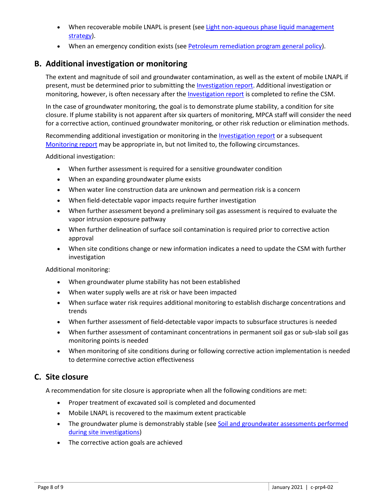- When recoverable mobile LNAPL is present (see Light non-aqueous phase liquid management [strategy\)](https://www.pca.state.mn.us/sites/default/files/c-prp2-02.pdf).
- When an emergency condition exists (see [Petroleum remediation program general policy\)](https://www.pca.state.mn.us/sites/default/files/c-prp1-01.pdf).

# **B. Additional investigation or monitoring**

The extent and magnitude of soil and groundwater contamination, as well as the extent of mobile LNAPL if present, must be determined prior to submitting the [Investigation report.](https://www.pca.state.mn.us/sites/default/files/c-prp4-06.doc) Additional investigation or monitoring, however, is often necessary after th[e Investigation report](https://www.pca.state.mn.us/sites/default/files/c-prp4-06.doc) is completed to refine the CSM.

In the case of groundwater monitoring, the goal is to demonstrate plume stability, a condition for site closure. If plume stability is not apparent after six quarters of monitoring, MPCA staff will consider the need for a corrective action, continued groundwater monitoring, or other risk reduction or elimination methods.

Recommending additional investigation or monitoring in the *Investigation report* or a subsequent [Monitoring report](https://www.pca.state.mn.us/sites/default/files/c-prp4-08.doc) may be appropriate in, but not limited to, the following circumstances.

Additional investigation:

- When further assessment is required for a sensitive groundwater condition
- When an expanding groundwater plume exists
- When water line construction data are unknown and permeation risk is a concern
- When field-detectable vapor impacts require further investigation
- When further assessment beyond a preliminary soil gas assessment is required to evaluate the vapor intrusion exposure pathway
- When further delineation of surface soil contamination is required prior to corrective action approval
- When site conditions change or new information indicates a need to update the CSM with further investigation

Additional monitoring:

- When groundwater plume stability has not been established
- When water supply wells are at risk or have been impacted
- When surface water risk requires additional monitoring to establish discharge concentrations and trends
- When further assessment of field-detectable vapor impacts to subsurface structures is needed
- When further assessment of contaminant concentrations in permanent soil gas or sub-slab soil gas monitoring points is needed
- When monitoring of site conditions during or following corrective action implementation is needed to determine corrective action effectiveness

# **C. Site closure**

A recommendation for site closure is appropriate when all the following conditions are met:

- Proper treatment of excavated soil is completed and documented
- Mobile LNAPL is recovered to the maximum extent practicable
- The groundwater plume is demonstrably stable (see [Soil and groundwater assessments](https://www.pca.state.mn.us/sites/default/files/c-prp4-01.pdf) performed [during site investigations\)](https://www.pca.state.mn.us/sites/default/files/c-prp4-01.pdf)
- The corrective action goals are achieved